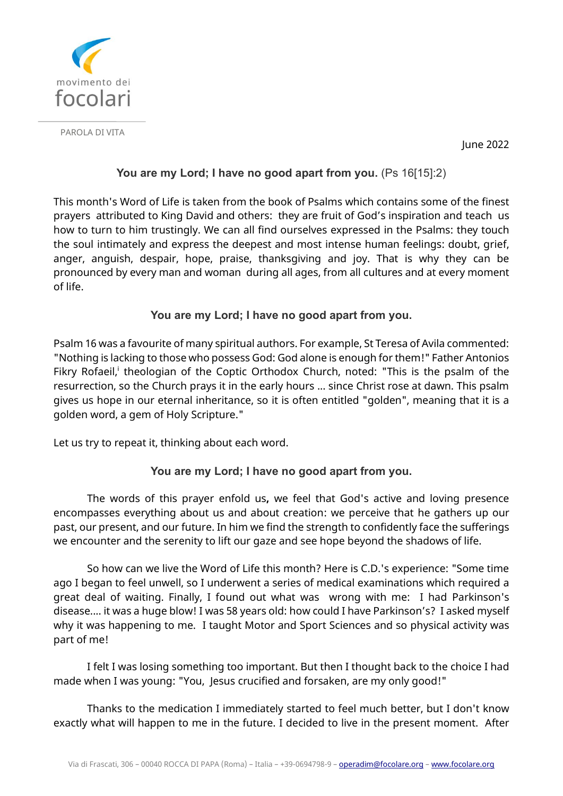

PAROLA DI VITA

June 2022

## **You are my Lord; I have no good apart from you.** (Ps 16[15]:2)

This month's Word of Life is taken from the book of Psalms which contains some of the finest prayers attributed to King David and others: they are fruit of God's inspiration and teach us how to turn to him trustingly. We can all find ourselves expressed in the Psalms: they touch the soul intimately and express the deepest and most intense human feelings: doubt, grief, anger, anguish, despair, hope, praise, thanksgiving and joy. That is why they can be pronounced by every man and woman during all ages, from all cultures and at every moment of life.

## **You are my Lord; I have no good apart from you.**

Psalm 16 was a favourite of many spiritual authors. For example, St Teresa of Avila commented: "Nothing is lacking to those who possess God: God alone is enough for them!" Father Antonios Fikry Rofaeil,<sup>i</sup> theologian of the Coptic Orthodox Church, noted: "This is the psalm of the resurrection, so the Church prays it in the early hours ... since Christ rose at dawn. This psalm gives us hope in our eternal inheritance, so it is often entitled "golden", meaning that it is a golden word, a gem of Holy Scripture."

Let us try to repeat it, thinking about each word.

## **You are my Lord; I have no good apart from you.**

The words of this prayer enfold us**,** we feel that God's active and loving presence encompasses everything about us and about creation: we perceive that he gathers up our past, our present, and our future. In him we find the strength to confidently face the sufferings we encounter and the serenity to lift our gaze and see hope beyond the shadows of life.

So how can we live the Word of Life this month? Here is C.D.'s experience: "Some time ago I began to feel unwell, so I underwent a series of medical examinations which required a great deal of waiting. Finally, I found out what was wrong with me: I had Parkinson's disease.... it was a huge blow! I was 58 years old: how could I have Parkinson's? I asked myself why it was happening to me. I taught Motor and Sport Sciences and so physical activity was part of me!

I felt I was losing something too important. But then I thought back to the choice I had made when I was young: "You, Jesus crucified and forsaken, are my only good!"

Thanks to the medication I immediately started to feel much better, but I don't know exactly what will happen to me in the future. I decided to live in the present moment. After